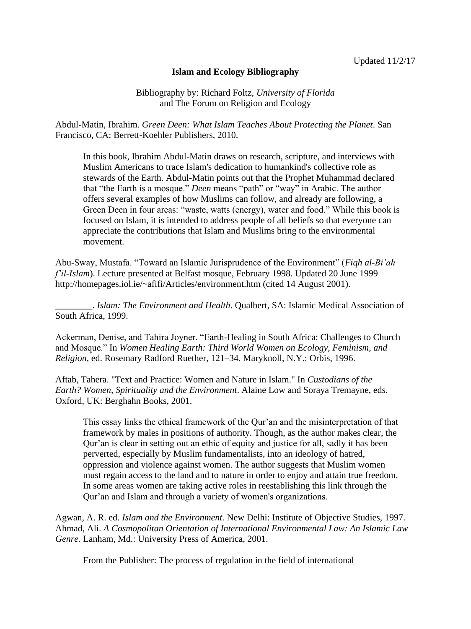## **Islam and Ecology Bibliography**

Bibliography by: Richard Foltz, *University of Florida*  and The Forum on Religion and Ecology

Abdul-Matin, Ibrahim. *Green Deen: What Islam Teaches About Protecting the Planet*. San Francisco, CA: Berrett-Koehler Publishers, 2010.

In this book, Ibrahim Abdul-Matin draws on research, scripture, and interviews with Muslim Americans to trace Islam's dedication to humankind's collective role as stewards of the Earth. Abdul-Matin points out that the Prophet Muhammad declared that "the Earth is a mosque." *Deen* means "path" or "way" in Arabic. The author offers several examples of how Muslims can follow, and already are following, a Green Deen in four areas: "waste, watts (energy), water and food." While this book is focused on Islam, it is intended to address people of all beliefs so that everyone can appreciate the contributions that Islam and Muslims bring to the environmental movement.

Abu-Sway, Mustafa. "Toward an Islamic Jurisprudence of the Environment" (*Fiqh al-Bi'ah f'il-Islam*). Lecture presented at Belfast mosque, February 1998. Updated 20 June 1999 http://homepages.iol.ie/~afifi/Articles/environment.htm (cited 14 August 2001).

\_\_\_\_\_\_\_\_. *Islam: The Environment and Health*. Qualbert, SA: Islamic Medical Association of South Africa, 1999.

Ackerman, Denise, and Tahira Joyner. "Earth-Healing in South Africa: Challenges to Church and Mosque." In *Women Healing Earth: Third World Women on Ecology, Feminism, and Religion,* ed. Rosemary Radford Ruether, 121–34. Maryknoll, N.Y.: Orbis, 1996.

Aftab, Tahera. "Text and Practice: Women and Nature in Islam." In *Custodians of the Earth? Women, Spirituality and the Environment*. Alaine Low and Soraya Tremayne, eds. Oxford, UK: Berghahn Books, 2001.

This essay links the ethical framework of the Qur'an and the misinterpretation of that framework by males in positions of authority. Though, as the author makes clear, the Qur'an is clear in setting out an ethic of equity and justice for all, sadly it has been perverted, especially by Muslim fundamentalists, into an ideology of hatred, oppression and violence against women. The author suggests that Muslim women must regain access to the land and to nature in order to enjoy and attain true freedom. In some areas women are taking active roles in reestablishing this link through the Qur'an and Islam and through a variety of women's organizations.

Agwan, A. R. ed. *Islam and the Environment.* New Delhi: Institute of Objective Studies, 1997. Ahmad, Ali. *A Cosmopolitan Orientation of International Environmental Law: An Islamic Law Genre.* Lanham, Md.: University Press of America, 2001.

From the Publisher: The process of regulation in the field of international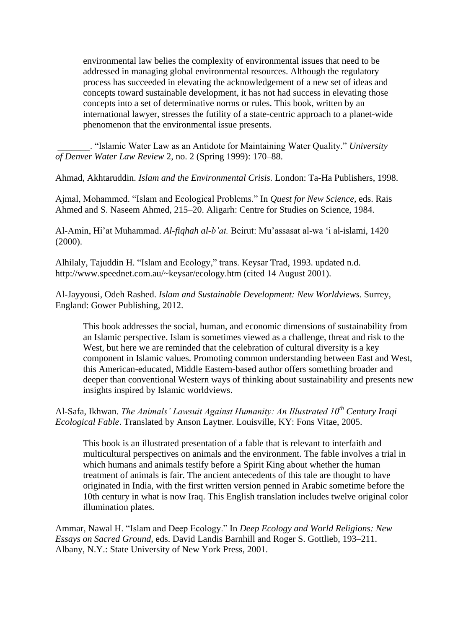environmental law belies the complexity of environmental issues that need to be addressed in managing global environmental resources. Although the regulatory process has succeeded in elevating the acknowledgement of a new set of ideas and concepts toward sustainable development, it has not had success in elevating those concepts into a set of determinative norms or rules. This book, written by an international lawyer, stresses the futility of a state-centric approach to a planet-wide phenomenon that the environmental issue presents.

\_\_\_\_\_\_\_. "Islamic Water Law as an Antidote for Maintaining Water Quality." *University of Denver Water Law Review* 2, no. 2 (Spring 1999): 170–88.

Ahmad, Akhtaruddin. *Islam and the Environmental Crisis.* London: Ta-Ha Publishers, 1998.

Ajmal, Mohammed. "Islam and Ecological Problems." In *Quest for New Science,* eds. Rais Ahmed and S. Naseem Ahmed, 215–20. Aligarh: Centre for Studies on Science, 1984.

Al-Amin, Hi'at Muhammad. *Al-fiqhah al-b'at.* Beirut: Mu'assasat al-wa 'i al-islami, 1420 (2000).

Alhilaly, Tajuddin H. "Islam and Ecology," trans. Keysar Trad, 1993. updated n.d. http://www.speednet.com.au/~keysar/ecology.htm (cited 14 August 2001).

Al-Jayyousi, Odeh Rashed. *Islam and Sustainable Development: New Worldviews*. Surrey, England: Gower Publishing, 2012.

This book addresses the social, human, and economic dimensions of sustainability from an Islamic perspective. Islam is sometimes viewed as a challenge, threat and risk to the West, but here we are reminded that the celebration of cultural diversity is a key component in Islamic values. Promoting common understanding between East and West, this American-educated, Middle Eastern-based author offers something broader and deeper than conventional Western ways of thinking about sustainability and presents new insights inspired by Islamic worldviews.

Al-Safa, Ikhwan. *The Animals' Lawsuit Against Humanity: An Illustrated 10th Century Iraqi Ecological Fable*. Translated by Anson Laytner. Louisville, KY: Fons Vitae, 2005.

This book is an illustrated presentation of a fable that is relevant to interfaith and multicultural perspectives on animals and the environment. The fable involves a trial in which humans and animals testify before a Spirit King about whether the human treatment of animals is fair. The ancient antecedents of this tale are thought to have originated in India, with the first written version penned in Arabic sometime before the 10th century in what is now Iraq. This English translation includes twelve original color illumination plates.

Ammar, Nawal H. "Islam and Deep Ecology." In *Deep Ecology and World Religions: New Essays on Sacred Ground,* eds. David Landis Barnhill and Roger S. Gottlieb, 193–211. Albany, N.Y.: State University of New York Press, 2001.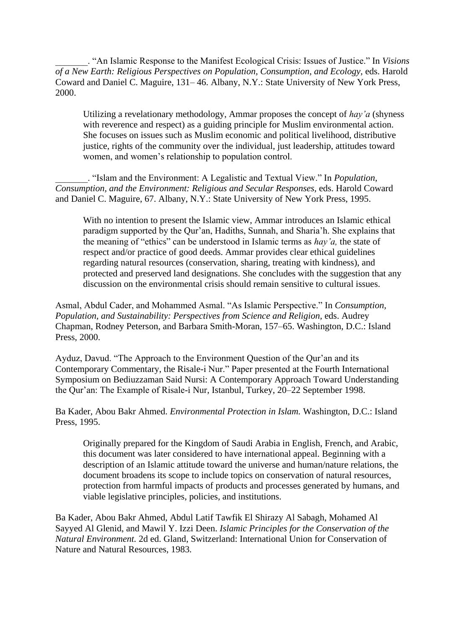\_\_\_\_\_\_\_. "An Islamic Response to the Manifest Ecological Crisis: Issues of Justice." In *Visions of a New Earth: Religious Perspectives on Population, Consumption, and Ecology,* eds. Harold Coward and Daniel C. Maguire, 131– 46. Albany, N.Y.: State University of New York Press, 2000.

Utilizing a revelationary methodology, Ammar proposes the concept of *hay'a* (shyness with reverence and respect) as a guiding principle for Muslim environmental action. She focuses on issues such as Muslim economic and political livelihood, distributive justice, rights of the community over the individual, just leadership, attitudes toward women, and women's relationship to population control.

\_\_\_\_\_\_\_. "Islam and the Environment: A Legalistic and Textual View." In *Population, Consumption, and the Environment: Religious and Secular Responses,* eds. Harold Coward and Daniel C. Maguire, 67. Albany, N.Y.: State University of New York Press, 1995.

With no intention to present the Islamic view, Ammar introduces an Islamic ethical paradigm supported by the Qur'an, Hadiths, Sunnah, and Sharia'h. She explains that the meaning of "ethics" can be understood in Islamic terms as *hay'a,* the state of respect and/or practice of good deeds. Ammar provides clear ethical guidelines regarding natural resources (conservation, sharing, treating with kindness), and protected and preserved land designations. She concludes with the suggestion that any discussion on the environmental crisis should remain sensitive to cultural issues.

Asmal, Abdul Cader, and Mohammed Asmal. "As Islamic Perspective." In *Consumption, Population, and Sustainability: Perspectives from Science and Religion, eds. Audrey* Chapman, Rodney Peterson, and Barbara Smith-Moran, 157–65. Washington, D.C.: Island Press, 2000.

Ayduz, Davud. "The Approach to the Environment Question of the Qur'an and its Contemporary Commentary, the Risale-i Nur." Paper presented at the Fourth International Symposium on Bediuzzaman Said Nursi: A Contemporary Approach Toward Understanding the Qur'an: The Example of Risale-i Nur, Istanbul, Turkey, 20–22 September 1998.

Ba Kader, Abou Bakr Ahmed. *Environmental Protection in Islam.* Washington, D.C.: Island Press, 1995.

Originally prepared for the Kingdom of Saudi Arabia in English, French, and Arabic, this document was later considered to have international appeal. Beginning with a description of an Islamic attitude toward the universe and human/nature relations, the document broadens its scope to include topics on conservation of natural resources, protection from harmful impacts of products and processes generated by humans, and viable legislative principles, policies, and institutions.

Ba Kader, Abou Bakr Ahmed, Abdul Latif Tawfik El Shirazy Al Sabagh, Mohamed Al Sayyed Al Glenid, and Mawil Y. Izzi Deen. *Islamic Principles for the Conservation of the Natural Environment.* 2d ed. Gland, Switzerland: International Union for Conservation of Nature and Natural Resources, 1983.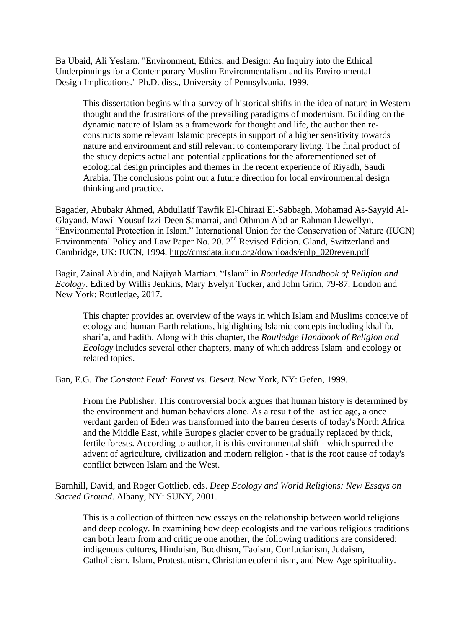Ba Ubaid, Ali Yeslam. "Environment, Ethics, and Design: An Inquiry into the Ethical Underpinnings for a Contemporary Muslim Environmentalism and its Environmental Design Implications." Ph.D. diss., University of Pennsylvania, 1999.

This dissertation begins with a survey of historical shifts in the idea of nature in Western thought and the frustrations of the prevailing paradigms of modernism. Building on the dynamic nature of Islam as a framework for thought and life, the author then reconstructs some relevant Islamic precepts in support of a higher sensitivity towards nature and environment and still relevant to contemporary living. The final product of the study depicts actual and potential applications for the aforementioned set of ecological design principles and themes in the recent experience of Riyadh, Saudi Arabia. The conclusions point out a future direction for local environmental design thinking and practice.

Bagader, Abubakr Ahmed, Abdullatif Tawfik El-Chirazi El-Sabbagh, Mohamad As-Sayyid Al-Glayand, Mawil Yousuf Izzi-Deen Samarrai, and Othman Abd-ar-Rahman Llewellyn. "Environmental Protection in Islam." International Union for the Conservation of Nature (IUCN) Environmental Policy and Law Paper No. 20. 2<sup>nd</sup> Revised Edition. Gland, Switzerland and Cambridge, UK: IUCN, 1994. [http://cmsdata.iucn.org/downloads/eplp\\_020reven.pdf](http://cmsdata.iucn.org/downloads/eplp_020reven.pdf)

Bagir, Zainal Abidin, and Najiyah Martiam. "Islam" in *Routledge Handbook of Religion and Ecology*. Edited by Willis Jenkins, Mary Evelyn Tucker, and John Grim, 79-87. London and New York: Routledge, 2017.

This chapter provides an overview of the ways in which Islam and Muslims conceive of ecology and human-Earth relations, highlighting Islamic concepts including khalifa, shari'a, and hadith. Along with this chapter, the *Routledge Handbook of Religion and Ecology* includes several other chapters, many of which address Islam and ecology or related topics.

Ban, E.G. *The Constant Feud: Forest vs. Desert*. New York, NY: Gefen, 1999.

From the Publisher: This controversial book argues that human history is determined by the environment and human behaviors alone. As a result of the last ice age, a once verdant garden of Eden was transformed into the barren deserts of today's North Africa and the Middle East, while Europe's glacier cover to be gradually replaced by thick, fertile forests. According to author, it is this environmental shift - which spurred the advent of agriculture, civilization and modern religion - that is the root cause of today's conflict between Islam and the West.

Barnhill, David, and Roger Gottlieb, eds. *Deep Ecology and World Religions: New Essays on Sacred Ground*. Albany, NY: SUNY, 2001.

This is a collection of thirteen new essays on the relationship between world religions and deep ecology. In examining how deep ecologists and the various religious traditions can both learn from and critique one another, the following traditions are considered: indigenous cultures, Hinduism, Buddhism, Taoism, Confucianism, Judaism, Catholicism, Islam, Protestantism, Christian ecofeminism, and New Age spirituality.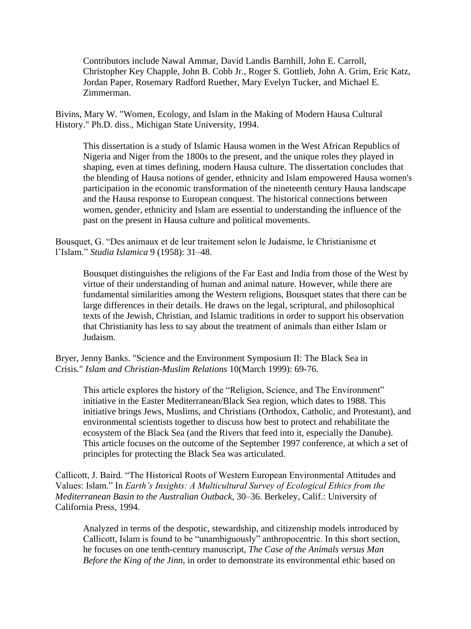Contributors include Nawal Ammar, David Landis Barnhill, John E. Carroll, Christopher Key Chapple, John B. Cobb Jr., Roger S. Gottlieb, John A. Grim, Eric Katz, Jordan Paper, Rosemary Radford Ruether, Mary Evelyn Tucker, and Michael E. Zimmerman.

Bivins, Mary W. "Women, Ecology, and Islam in the Making of Modern Hausa Cultural History." Ph.D. diss., Michigan State University, 1994.

This dissertation is a study of Islamic Hausa women in the West African Republics of Nigeria and Niger from the 1800s to the present, and the unique roles they played in shaping, even at times defining, modern Hausa culture. The dissertation concludes that the blending of Hausa notions of gender, ethnicity and Islam empowered Hausa women's participation in the economic transformation of the nineteenth century Hausa landscape and the Hausa response to European conquest. The historical connections between women, gender, ethnicity and Islam are essential to understanding the influence of the past on the present in Hausa culture and political movements.

Bousquet, G. "Des animaux et de leur traitement selon le Judaisme, le Christianisme et l'Islam." *Studia Islamica* 9 (1958): 31–48.

Bousquet distinguishes the religions of the Far East and India from those of the West by virtue of their understanding of human and animal nature. However, while there are fundamental similarities among the Western religions, Bousquet states that there can be large differences in their details. He draws on the legal, scriptural, and philosophical texts of the Jewish, Christian, and Islamic traditions in order to support his observation that Christianity has less to say about the treatment of animals than either Islam or Judaism.

Bryer, Jenny Banks. "Science and the Environment Symposium II: The Black Sea in Crisis." *Islam and Christian-Muslim Relations* 10(March 1999): 69-76.

This article explores the history of the "Religion, Science, and The Environment" initiative in the Easter Mediterranean/Black Sea region, which dates to 1988. This initiative brings Jews, Muslims, and Christians (Orthodox, Catholic, and Protestant), and environmental scientists together to discuss how best to protect and rehabilitate the ecosystem of the Black Sea (and the Rivers that feed into it, especially the Danube). This article focuses on the outcome of the September 1997 conference, at which a set of principles for protecting the Black Sea was articulated.

Callicott, J. Baird. "The Historical Roots of Western European Environmental Attitudes and Values: Islam." In *Earth's Insights: A Multicultural Survey of Ecological Ethics from the Mediterranean Basin to the Australian Outback,* 30–36. Berkeley, Calif.: University of California Press, 1994.

Analyzed in terms of the despotic, stewardship, and citizenship models introduced by Callicott, Islam is found to be "unambiguously" anthropocentric. In this short section, he focuses on one tenth-century manuscript, *The Case of the Animals versus Man Before the King of the Jinn*, in order to demonstrate its environmental ethic based on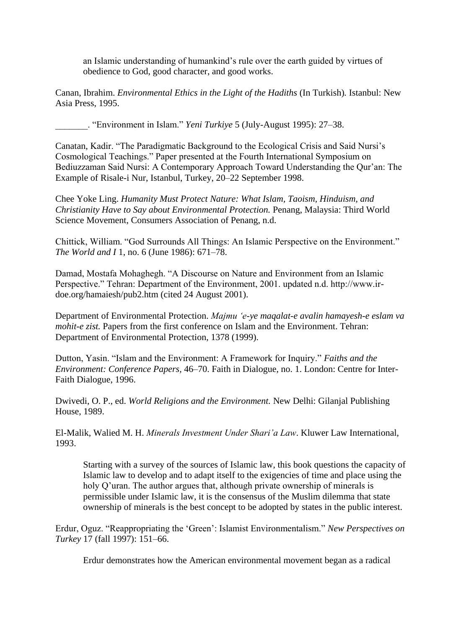an Islamic understanding of humankind's rule over the earth guided by virtues of obedience to God, good character, and good works.

Canan, Ibrahim. *Environmental Ethics in the Light of the Hadiths* (In Turkish)*.* Istanbul: New Asia Press, 1995.

\_\_\_\_\_\_\_. "Environment in Islam." *Yeni Turkiye* 5 (July-August 1995): 27–38.

Canatan, Kadir. "The Paradigmatic Background to the Ecological Crisis and Said Nursi's Cosmological Teachings." Paper presented at the Fourth International Symposium on Bediuzzaman Said Nursi: A Contemporary Approach Toward Understanding the Qur'an: The Example of Risale-i Nur, Istanbul, Turkey, 20–22 September 1998.

Chee Yoke Ling. *Humanity Must Protect Nature: What Islam, Taoism, Hinduism, and Christianity Have to Say about Environmental Protection.* Penang, Malaysia: Third World Science Movement, Consumers Association of Penang, n.d.

Chittick, William. "God Surrounds All Things: An Islamic Perspective on the Environment." *The World and I* 1, no. 6 (June 1986): 671–78.

Damad, Mostafa Mohaghegh. "A Discourse on Nature and Environment from an Islamic Perspective." Tehran: Department of the Environment, 2001. updated n.d. http://www.irdoe.org/hamaiesh/pub2.htm (cited 24 August 2001).

Department of Environmental Protection. *Majmu 'e-ye maqalat-e avalin hamayesh-e eslam va mohit-e zist*. Papers from the first conference on Islam and the Environment. Tehran: Department of Environmental Protection, 1378 (1999).

Dutton, Yasin. "Islam and the Environment: A Framework for Inquiry." *Faiths and the Environment: Conference Papers,* 46–70. Faith in Dialogue, no. 1. London: Centre for Inter-Faith Dialogue, 1996.

Dwivedi, O. P., ed. *World Religions and the Environment.* New Delhi: Gilanjal Publishing House, 1989.

El-Malik, Walied M. H. *Minerals Investment Under Shari'a Law*. Kluwer Law International, 1993.

Starting with a survey of the sources of Islamic law, this book questions the capacity of Islamic law to develop and to adapt itself to the exigencies of time and place using the holy Q'uran. The author argues that, although private ownership of minerals is permissible under Islamic law, it is the consensus of the Muslim dilemma that state ownership of minerals is the best concept to be adopted by states in the public interest.

Erdur, Oguz. "Reappropriating the 'Green': Islamist Environmentalism." *New Perspectives on Turkey* 17 (fall 1997): 151–66.

Erdur demonstrates how the American environmental movement began as a radical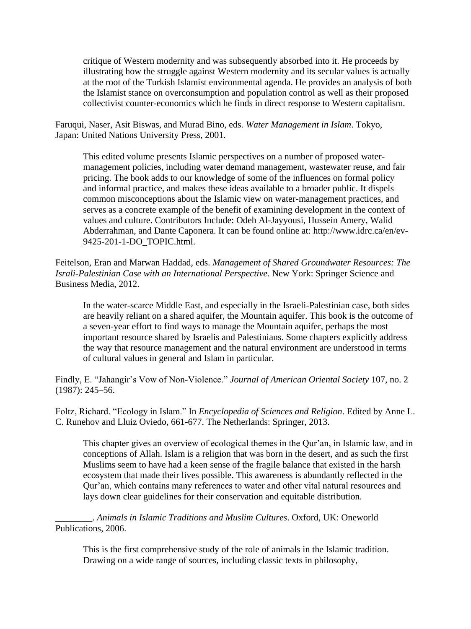critique of Western modernity and was subsequently absorbed into it. He proceeds by illustrating how the struggle against Western modernity and its secular values is actually at the root of the Turkish Islamist environmental agenda. He provides an analysis of both the Islamist stance on overconsumption and population control as well as their proposed collectivist counter-economics which he finds in direct response to Western capitalism.

Faruqui, Naser, Asit Biswas, and Murad Bino, eds. *Water Management in Islam*. Tokyo, Japan: United Nations University Press, 2001.

This edited volume presents Islamic perspectives on a number of proposed watermanagement policies, including water demand management, wastewater reuse, and fair pricing. The book adds to our knowledge of some of the influences on formal policy and informal practice, and makes these ideas available to a broader public. It dispels common misconceptions about the Islamic view on water-management practices, and serves as a concrete example of the benefit of examining development in the context of values and culture. Contributors Include: Odeh Al-Jayyousi, Hussein Amery, Walid Abderrahman, and Dante Caponera. It can be found online at: http://www.idrc.ca/en/ev-9425-201-1-DO\_TOPIC.html.

Feitelson, Eran and Marwan Haddad, eds. *Management of Shared Groundwater Resources: The Israli-Palestinian Case with an International Perspective*. New York: Springer Science and Business Media, 2012.

In the water-scarce Middle East, and especially in the Israeli-Palestinian case, both sides are heavily reliant on a shared aquifer, the Mountain aquifer. This book is the outcome of a seven-year effort to find ways to manage the Mountain aquifer, perhaps the most important resource shared by Israelis and Palestinians. Some chapters explicitly address the way that resource management and the natural environment are understood in terms of cultural values in general and Islam in particular.

Findly, E. "Jahangir's Vow of Non-Violence." *Journal of American Oriental Society* 107, no. 2 (1987): 245–56.

Foltz, Richard. "Ecology in Islam." In *Encyclopedia of Sciences and Religion*. Edited by Anne L. C. Runehov and Lluiz Oviedo, 661-677. The Netherlands: Springer, 2013.

This chapter gives an overview of ecological themes in the Qur'an, in Islamic law, and in conceptions of Allah. Islam is a religion that was born in the desert, and as such the first Muslims seem to have had a keen sense of the fragile balance that existed in the harsh ecosystem that made their lives possible. This awareness is abundantly reflected in the Qur'an, which contains many references to water and other vital natural resources and lays down clear guidelines for their conservation and equitable distribution.

\_\_\_\_\_\_\_\_. *Animals in Islamic Traditions and Muslim Cultures*. Oxford, UK: Oneworld Publications, 2006.

This is the first comprehensive study of the role of animals in the Islamic tradition. Drawing on a wide range of sources, including classic texts in philosophy,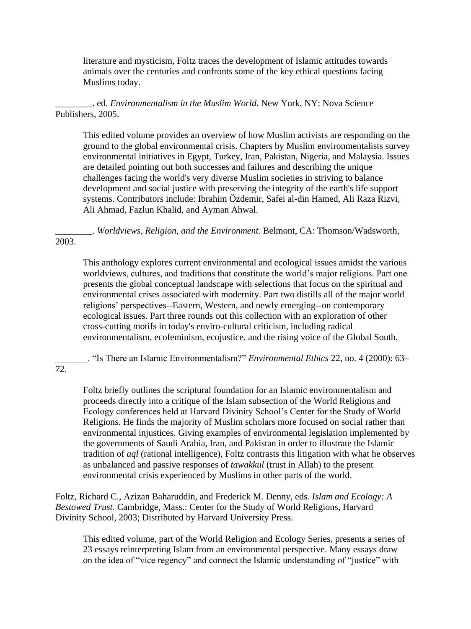literature and mysticism, Foltz traces the development of Islamic attitudes towards animals over the centuries and confronts some of the key ethical questions facing Muslims today.

\_\_\_\_\_\_\_\_. ed. *Environmentalism in the Muslim World*. New York, NY: Nova Science Publishers, 2005.

This edited volume provides an overview of how Muslim activists are responding on the ground to the global environmental crisis. Chapters by Muslim environmentalists survey environmental initiatives in Egypt, Turkey, Iran, Pakistan, Nigeria, and Malaysia. Issues are detailed pointing out both successes and failures and describing the unique challenges facing the world's very diverse Muslim societies in striving to balance development and social justice with preserving the integrity of the earth's life support systems. Contributors include: Ibrahim Özdemir, Safei al-din Hamed, Ali Raza Rizvi, Ali Ahmad, Fazlun Khalid, and Ayman Ahwal.

\_\_\_\_\_\_\_\_. *Worldviews, Religion, and the Environment*. Belmont, CA: Thomson/Wadsworth, 2003.

This anthology explores current environmental and ecological issues amidst the various worldviews, cultures, and traditions that constitute the world's major religions. Part one presents the global conceptual landscape with selections that focus on the spiritual and environmental crises associated with modernity. Part two distills all of the major world religions' perspectives--Eastern, Western, and newly emerging--on contemporary ecological issues. Part three rounds out this collection with an exploration of other cross-cutting motifs in today's enviro-cultural criticism, including radical environmentalism, ecofeminism, ecojustice, and the rising voice of the Global South.

\_\_\_\_\_\_\_. "Is There an Islamic Environmentalism?" *Environmental Ethics* 22, no. 4 (2000): 63–

72.

Foltz briefly outlines the scriptural foundation for an Islamic environmentalism and proceeds directly into a critique of the Islam subsection of the World Religions and Ecology conferences held at Harvard Divinity School's Center for the Study of World Religions. He finds the majority of Muslim scholars more focused on social rather than environmental injustices. Giving examples of environmental legislation implemented by the governments of Saudi Arabia, Iran, and Pakistan in order to illustrate the Islamic tradition of *aql* (rational intelligence), Foltz contrasts this litigation with what he observes as unbalanced and passive responses of *tawakkul* (trust in Allah) to the present environmental crisis experienced by Muslims in other parts of the world.

Foltz, Richard C., Azizan Baharuddin, and Frederick M. Denny, eds. *Islam and Ecology: A Bestowed Trust.* Cambridge, Mass.: Center for the Study of World Religions, Harvard Divinity School, 2003; Distributed by Harvard University Press.

This edited volume, part of the World Religion and Ecology Series, presents a series of 23 essays reinterpreting Islam from an environmental perspective. Many essays draw on the idea of "vice regency" and connect the Islamic understanding of "justice" with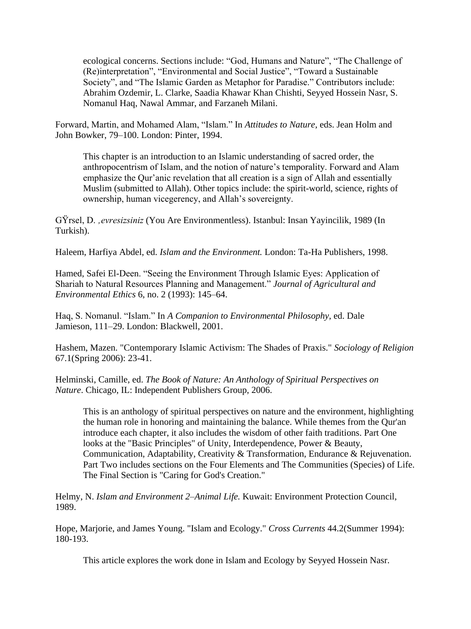ecological concerns. Sections include: "God, Humans and Nature", "The Challenge of (Re)interpretation", "Environmental and Social Justice", "Toward a Sustainable Society", and "The Islamic Garden as Metaphor for Paradise." Contributors include: Abrahim Ozdemir, L. Clarke, Saadia Khawar Khan Chishti, Seyyed Hossein Nasr, S. Nomanul Haq, Nawal Ammar, and Farzaneh Milani.

Forward, Martin, and Mohamed Alam, "Islam." In *Attitudes to Nature,* eds. Jean Holm and John Bowker, 79–100. London: Pinter, 1994.

This chapter is an introduction to an Islamic understanding of sacred order, the anthropocentrism of Islam, and the notion of nature's temporality. Forward and Alam emphasize the Qur'anic revelation that all creation is a sign of Allah and essentially Muslim (submitted to Allah). Other topics include: the spirit-world, science, rights of ownership, human vicegerency, and Allah's sovereignty.

GŸrsel, D. *'evresizsiniz* (You Are Environmentless). Istanbul: Insan Yayincilik, 1989 (In Turkish).

Haleem, Harfiya Abdel, ed. *Islam and the Environment.* London: Ta-Ha Publishers, 1998.

Hamed, Safei El-Deen. "Seeing the Environment Through Islamic Eyes: Application of Shariah to Natural Resources Planning and Management." *Journal of Agricultural and Environmental Ethics* 6, no. 2 (1993): 145–64.

Haq, S. Nomanul. "Islam." In *A Companion to Environmental Philosophy,* ed. Dale Jamieson, 111–29. London: Blackwell, 2001.

Hashem, Mazen. "Contemporary Islamic Activism: The Shades of Praxis." *Sociology of Religion* 67.1(Spring 2006): 23-41.

Helminski, Camille, ed. *The Book of Nature: An Anthology of Spiritual Perspectives on Nature*. Chicago, IL: Independent Publishers Group, 2006.

This is an anthology of spiritual perspectives on nature and the environment, highlighting the human role in honoring and maintaining the balance. While themes from the Qur'an introduce each chapter, it also includes the wisdom of other faith traditions. Part One looks at the "Basic Principles" of Unity, Interdependence, Power & Beauty, Communication, Adaptability, Creativity & Transformation, Endurance & Rejuvenation. Part Two includes sections on the Four Elements and The Communities (Species) of Life. The Final Section is "Caring for God's Creation."

Helmy, N. *Islam and Environment 2–Animal Life.* Kuwait: Environment Protection Council, 1989.

Hope, Marjorie, and James Young. "Islam and Ecology." *Cross Currents* 44.2(Summer 1994): 180-193.

This article explores the work done in Islam and Ecology by Seyyed Hossein Nasr.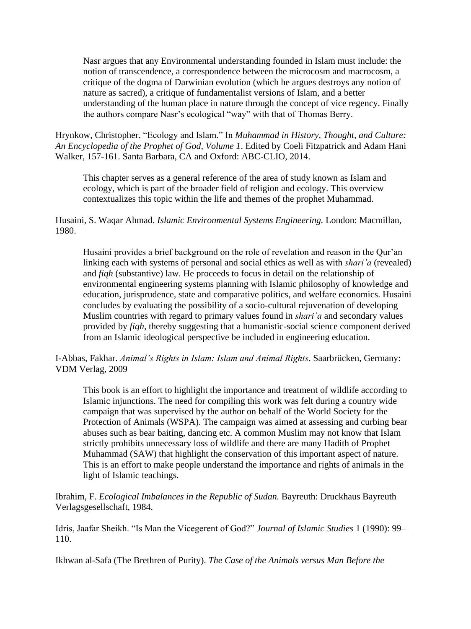Nasr argues that any Environmental understanding founded in Islam must include: the notion of transcendence, a correspondence between the microcosm and macrocosm, a critique of the dogma of Darwinian evolution (which he argues destroys any notion of nature as sacred), a critique of fundamentalist versions of Islam, and a better understanding of the human place in nature through the concept of vice regency. Finally the authors compare Nasr's ecological "way" with that of Thomas Berry.

Hrynkow, Christopher. "Ecology and Islam." In *Muhammad in History, Thought, and Culture: An Encyclopedia of the Prophet of God, Volume 1*. Edited by Coeli Fitzpatrick and Adam Hani Walker, 157-161. Santa Barbara, CA and Oxford: ABC-CLIO, 2014.

This chapter serves as a general reference of the area of study known as Islam and ecology, which is part of the broader field of religion and ecology. This overview contextualizes this topic within the life and themes of the prophet Muhammad.

Husaini, S. Waqar Ahmad. *Islamic Environmental Systems Engineering.* London: Macmillan, 1980.

Husaini provides a brief background on the role of revelation and reason in the Qur'an linking each with systems of personal and social ethics as well as with *shari'a* (revealed) and *fiqh* (substantive) law. He proceeds to focus in detail on the relationship of environmental engineering systems planning with Islamic philosophy of knowledge and education, jurisprudence, state and comparative politics, and welfare economics. Husaini concludes by evaluating the possibility of a socio-cultural rejuvenation of developing Muslim countries with regard to primary values found in *shari'a* and secondary values provided by *fiqh,* thereby suggesting that a humanistic-social science component derived from an Islamic ideological perspective be included in engineering education.

I-Abbas, Fakhar. *Animal's Rights in Islam: Islam and Animal Rights*. Saarbrücken, Germany: VDM Verlag, 2009

This book is an effort to highlight the importance and treatment of wildlife according to Islamic injunctions. The need for compiling this work was felt during a country wide campaign that was supervised by the author on behalf of the World Society for the Protection of Animals (WSPA). The campaign was aimed at assessing and curbing bear abuses such as bear baiting, dancing etc. A common Muslim may not know that Islam strictly prohibits unnecessary loss of wildlife and there are many Hadith of Prophet Muhammad (SAW) that highlight the conservation of this important aspect of nature. This is an effort to make people understand the importance and rights of animals in the light of Islamic teachings.

Ibrahim, F. *Ecological Imbalances in the Republic of Sudan.* Bayreuth: Druckhaus Bayreuth Verlagsgesellschaft, 1984.

Idris, Jaafar Sheikh. "Is Man the Vicegerent of God?" *Journal of Islamic Studies* 1 (1990): 99– 110.

Ikhwan al-Safa (The Brethren of Purity). *The Case of the Animals versus Man Before the*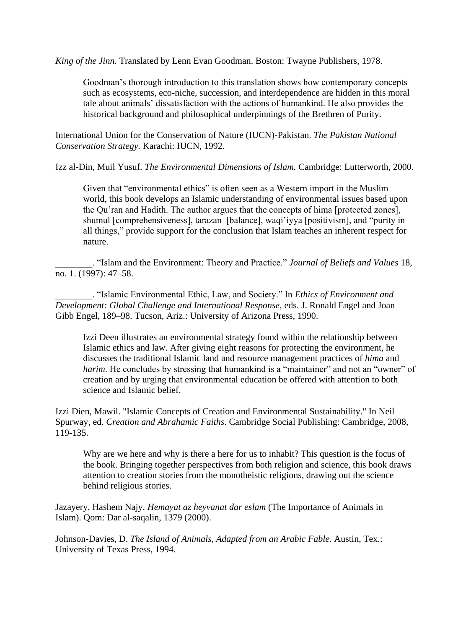*King of the Jinn.* Translated by Lenn Evan Goodman. Boston: Twayne Publishers, 1978.

Goodman's thorough introduction to this translation shows how contemporary concepts such as ecosystems, eco-niche, succession, and interdependence are hidden in this moral tale about animals' dissatisfaction with the actions of humankind. He also provides the historical background and philosophical underpinnings of the Brethren of Purity.

International Union for the Conservation of Nature (IUCN)-Pakistan. *The Pakistan National Conservation Strategy.* Karachi: IUCN, 1992.

Izz al-Din, Muil Yusuf. *The Environmental Dimensions of Islam.* Cambridge: Lutterworth, 2000.

Given that "environmental ethics" is often seen as a Western import in the Muslim world, this book develops an Islamic understanding of environmental issues based upon the Qu'ran and Hadith. The author argues that the concepts of hima [protected zones], shumul [comprehensiveness], tarazan [balance], waqi'iyya [positivism], and "purity in all things," provide support for the conclusion that Islam teaches an inherent respect for nature.

\_\_\_\_\_\_\_\_. "Islam and the Environment: Theory and Practice." *Journal of Beliefs and Values* 18, no. 1. (1997): 47–58.

\_\_\_\_\_\_\_\_. "Islamic Environmental Ethic, Law, and Society." In *Ethics of Environment and Development: Global Challenge and International Response,* eds. J. Ronald Engel and Joan Gibb Engel, 189–98. Tucson, Ariz.: University of Arizona Press, 1990.

Izzi Deen illustrates an environmental strategy found within the relationship between Islamic ethics and law. After giving eight reasons for protecting the environment, he discusses the traditional Islamic land and resource management practices of *hima* and *harim*. He concludes by stressing that humankind is a "maintainer" and not an "owner" of creation and by urging that environmental education be offered with attention to both science and Islamic belief.

Izzi Dien, Mawil. "Islamic Concepts of Creation and Environmental Sustainability." In Neil Spurway, ed. *Creation and Abrahamic Faiths*. Cambridge Social Publishing: Cambridge, 2008, 119-135.

Why are we here and why is there a here for us to inhabit? This question is the focus of the book. Bringing together perspectives from both religion and science, this book draws attention to creation stories from the monotheistic religions, drawing out the science behind religious stories.

Jazayery, Hashem Najy. *Hemayat az heyvanat dar eslam* (The Importance of Animals in Islam). Qom: Dar al-saqalin, 1379 (2000).

Johnson-Davies, D. *The Island of Animals, Adapted from an Arabic Fable.* Austin, Tex.: University of Texas Press, 1994.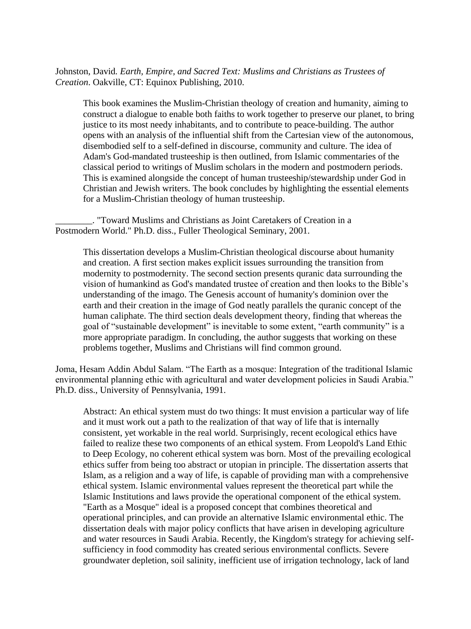Johnston, David*. Earth, Empire, and Sacred Text: Muslims and Christians as Trustees of Creation*. Oakville, CT: Equinox Publishing, 2010.

This book examines the Muslim-Christian theology of creation and humanity, aiming to construct a dialogue to enable both faiths to work together to preserve our planet, to bring justice to its most needy inhabitants, and to contribute to peace-building. The author opens with an analysis of the influential shift from the Cartesian view of the autonomous, disembodied self to a self-defined in discourse, community and culture. The idea of Adam's God-mandated trusteeship is then outlined, from Islamic commentaries of the classical period to writings of Muslim scholars in the modern and postmodern periods. This is examined alongside the concept of human trusteeship/stewardship under God in Christian and Jewish writers. The book concludes by highlighting the essential elements for a Muslim-Christian theology of human trusteeship.

\_\_\_\_\_\_\_\_. "Toward Muslims and Christians as Joint Caretakers of Creation in a Postmodern World." Ph.D. diss., Fuller Theological Seminary, 2001.

This dissertation develops a Muslim-Christian theological discourse about humanity and creation. A first section makes explicit issues surrounding the transition from modernity to postmodernity. The second section presents quranic data surrounding the vision of humankind as God's mandated trustee of creation and then looks to the Bible's understanding of the imago. The Genesis account of humanity's dominion over the earth and their creation in the image of God neatly parallels the quranic concept of the human caliphate. The third section deals development theory, finding that whereas the goal of "sustainable development" is inevitable to some extent, "earth community" is a more appropriate paradigm. In concluding, the author suggests that working on these problems together, Muslims and Christians will find common ground.

Joma, Hesam Addin Abdul Salam. "The Earth as a mosque: Integration of the traditional Islamic environmental planning ethic with agricultural and water development policies in Saudi Arabia." Ph.D. diss., University of Pennsylvania, 1991.

Abstract: An ethical system must do two things: It must envision a particular way of life and it must work out a path to the realization of that way of life that is internally consistent, yet workable in the real world. Surprisingly, recent ecological ethics have failed to realize these two components of an ethical system. From Leopold's Land Ethic to Deep Ecology, no coherent ethical system was born. Most of the prevailing ecological ethics suffer from being too abstract or utopian in principle. The dissertation asserts that Islam, as a religion and a way of life, is capable of providing man with a comprehensive ethical system. Islamic environmental values represent the theoretical part while the Islamic Institutions and laws provide the operational component of the ethical system. "Earth as a Mosque" ideal is a proposed concept that combines theoretical and operational principles, and can provide an alternative Islamic environmental ethic. The dissertation deals with major policy conflicts that have arisen in developing agriculture and water resources in Saudi Arabia. Recently, the Kingdom's strategy for achieving selfsufficiency in food commodity has created serious environmental conflicts. Severe groundwater depletion, soil salinity, inefficient use of irrigation technology, lack of land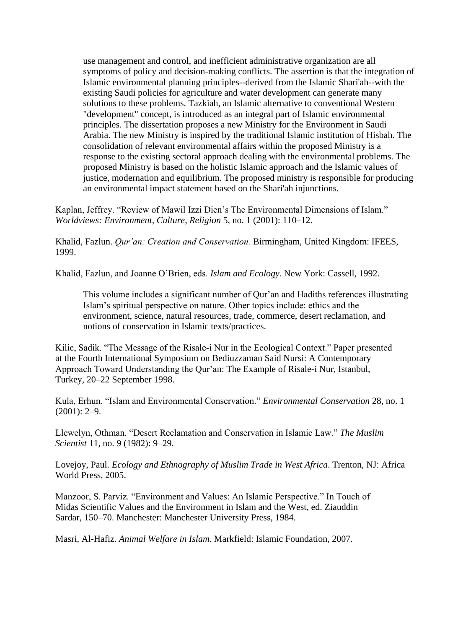use management and control, and inefficient administrative organization are all symptoms of policy and decision-making conflicts. The assertion is that the integration of Islamic environmental planning principles--derived from the Islamic Shari'ah--with the existing Saudi policies for agriculture and water development can generate many solutions to these problems. Tazkiah, an Islamic alternative to conventional Western "development" concept, is introduced as an integral part of Islamic environmental principles. The dissertation proposes a new Ministry for the Environment in Saudi Arabia. The new Ministry is inspired by the traditional Islamic institution of Hisbah. The consolidation of relevant environmental affairs within the proposed Ministry is a response to the existing sectoral approach dealing with the environmental problems. The proposed Ministry is based on the holistic Islamic approach and the Islamic values of justice, modernation and equilibrium. The proposed ministry is responsible for producing an environmental impact statement based on the Shari'ah injunctions.

Kaplan, Jeffrey. "Review of Mawil Izzi Dien's The Environmental Dimensions of Islam." *Worldviews: Environment, Culture, Religion* 5, no. 1 (2001): 110–12.

Khalid, Fazlun. *Qur'an: Creation and Conservation.* Birmingham, United Kingdom: IFEES, 1999.

Khalid, Fazlun, and Joanne O'Brien, eds. *Islam and Ecology.* New York: Cassell, 1992.

This volume includes a significant number of Qur'an and Hadiths references illustrating Islam's spiritual perspective on nature. Other topics include: ethics and the environment, science, natural resources, trade, commerce, desert reclamation, and notions of conservation in Islamic texts/practices.

Kilic, Sadik. "The Message of the Risale-i Nur in the Ecological Context." Paper presented at the Fourth International Symposium on Bediuzzaman Said Nursi: A Contemporary Approach Toward Understanding the Qur'an: The Example of Risale-i Nur, Istanbul, Turkey, 20–22 September 1998.

Kula, Erhun. "Islam and Environmental Conservation." *Environmental Conservation* 28, no. 1  $(2001): 2-9.$ 

Llewelyn, Othman. "Desert Reclamation and Conservation in Islamic Law." *The Muslim Scientist* 11, no. 9 (1982): 9–29.

Lovejoy, Paul. *Ecology and Ethnography of Muslim Trade in West Africa*. Trenton, NJ: Africa World Press, 2005.

Manzoor, S. Parviz. "Environment and Values: An Islamic Perspective." In Touch of Midas Scientific Values and the Environment in Islam and the West, ed. Ziauddin Sardar, 150–70. Manchester: Manchester University Press, 1984.

Masri, Al-Hafiz. *Animal Welfare in Islam*. Markfield: Islamic Foundation, 2007.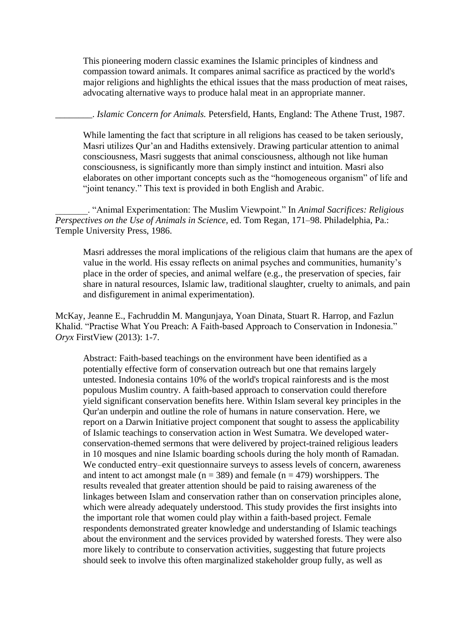This pioneering modern classic examines the Islamic principles of kindness and compassion toward animals. It compares animal sacrifice as practiced by the world's major religions and highlights the ethical issues that the mass production of meat raises, advocating alternative ways to produce halal meat in an appropriate manner.

\_\_\_\_\_\_\_\_. *Islamic Concern for Animals.* Petersfield, Hants, England: The Athene Trust, 1987.

While lamenting the fact that scripture in all religions has ceased to be taken seriously, Masri utilizes Qur'an and Hadiths extensively. Drawing particular attention to animal consciousness, Masri suggests that animal consciousness, although not like human consciousness, is significantly more than simply instinct and intuition. Masri also elaborates on other important concepts such as the "homogeneous organism" of life and "joint tenancy." This text is provided in both English and Arabic.

\_\_\_\_\_\_\_. "Animal Experimentation: The Muslim Viewpoint." In *Animal Sacrifices: Religious Perspectives on the Use of Animals in Science,* ed. Tom Regan, 171–98. Philadelphia, Pa.: Temple University Press, 1986.

Masri addresses the moral implications of the religious claim that humans are the apex of value in the world. His essay reflects on animal psyches and communities, humanity's place in the order of species, and animal welfare (e.g., the preservation of species, fair share in natural resources, Islamic law, traditional slaughter, cruelty to animals, and pain and disfigurement in animal experimentation).

McKay, Jeanne E., Fachruddin M. Mangunjaya, Yoan Dinata, Stuart R. Harrop, and Fazlun Khalid. "Practise What You Preach: A Faith-based Approach to Conservation in Indonesia." *Oryx* FirstView (2013): 1-7.

Abstract: Faith-based teachings on the environment have been identified as a potentially effective form of conservation outreach but one that remains largely untested. Indonesia contains 10% of the world's tropical rainforests and is the most populous Muslim country. A faith-based approach to conservation could therefore yield significant conservation benefits here. Within Islam several key principles in the Qur'an underpin and outline the role of humans in nature conservation. Here, we report on a Darwin Initiative project component that sought to assess the applicability of Islamic teachings to conservation action in West Sumatra. We developed waterconservation-themed sermons that were delivered by project-trained religious leaders in 10 mosques and nine Islamic boarding schools during the holy month of Ramadan. We conducted entry–exit questionnaire surveys to assess levels of concern, awareness and intent to act amongst male ( $n = 389$ ) and female ( $n = 479$ ) worshippers. The results revealed that greater attention should be paid to raising awareness of the linkages between Islam and conservation rather than on conservation principles alone, which were already adequately understood. This study provides the first insights into the important role that women could play within a faith-based project. Female respondents demonstrated greater knowledge and understanding of Islamic teachings about the environment and the services provided by watershed forests. They were also more likely to contribute to conservation activities, suggesting that future projects should seek to involve this often marginalized stakeholder group fully, as well as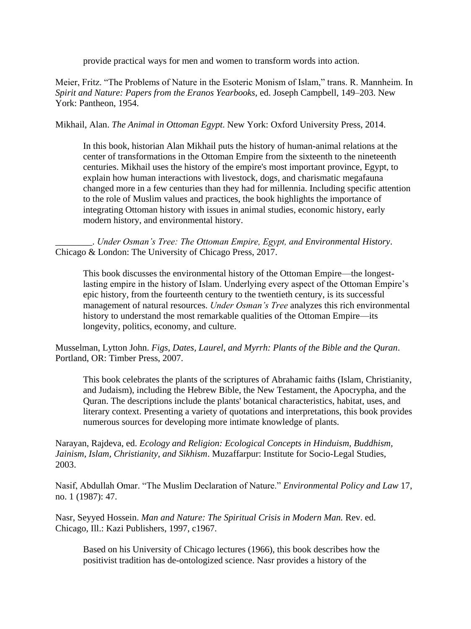provide practical ways for men and women to transform words into action.

Meier, Fritz. "The Problems of Nature in the Esoteric Monism of Islam," trans. R. Mannheim. In *Spirit and Nature: Papers from the Eranos Yearbooks,* ed. Joseph Campbell, 149–203. New York: Pantheon, 1954.

Mikhail, Alan. *The Animal in Ottoman Egypt*. New York: Oxford University Press, 2014.

In this book, historian Alan Mikhail puts the history of human-animal relations at the center of transformations in the Ottoman Empire from the sixteenth to the nineteenth centuries. Mikhail uses the history of the empire's most important province, Egypt, to explain how human interactions with livestock, dogs, and charismatic megafauna changed more in a few centuries than they had for millennia. Including specific attention to the role of Muslim values and practices, the book highlights the importance of integrating Ottoman history with issues in animal studies, economic history, early modern history, and environmental history.

\_\_\_\_\_\_\_\_. *Under Osman's Tree: The Ottoman Empire, Egypt, and Environmental History*. Chicago & London: The University of Chicago Press, 2017.

This book discusses the environmental history of the Ottoman Empire—the longestlasting empire in the history of Islam. Underlying every aspect of the Ottoman Empire's epic history, from the fourteenth century to the twentieth century, is its successful management of natural resources. *Under Osman's Tree* analyzes this rich environmental history to understand the most remarkable qualities of the Ottoman Empire—its longevity, politics, economy, and culture.

Musselman, Lytton John. *Figs, Dates, Laurel, and Myrrh: Plants of the Bible and the Quran*. Portland, OR: Timber Press, 2007.

This book celebrates the plants of the scriptures of Abrahamic faiths (Islam, Christianity, and Judaism), including the Hebrew Bible, the New Testament, the Apocrypha, and the Quran. The descriptions include the plants' botanical characteristics, habitat, uses, and literary context. Presenting a variety of quotations and interpretations, this book provides numerous sources for developing more intimate knowledge of plants.

Narayan, Rajdeva, ed. *Ecology and Religion: Ecological Concepts in Hinduism, Buddhism, Jainism, Islam, Christianity, and Sikhism*. Muzaffarpur: Institute for Socio-Legal Studies, 2003.

Nasif, Abdullah Omar. "The Muslim Declaration of Nature." *Environmental Policy and Law* 17, no. 1 (1987): 47.

Nasr, Seyyed Hossein. *Man and Nature: The Spiritual Crisis in Modern Man.* Rev. ed. Chicago, Ill.: Kazi Publishers, 1997, c1967.

Based on his University of Chicago lectures (1966), this book describes how the positivist tradition has de-ontologized science. Nasr provides a history of the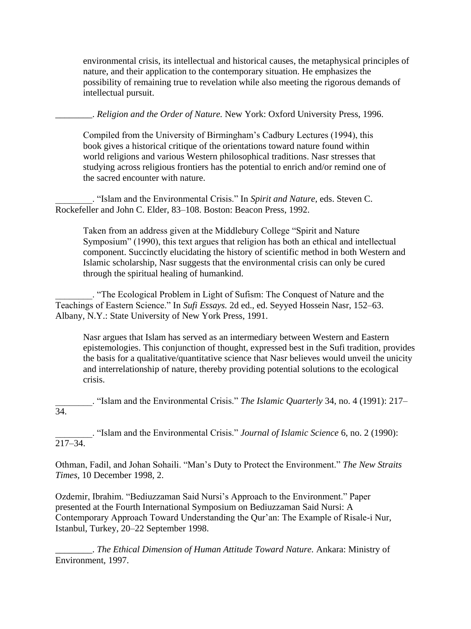environmental crisis, its intellectual and historical causes, the metaphysical principles of nature, and their application to the contemporary situation. He emphasizes the possibility of remaining true to revelation while also meeting the rigorous demands of intellectual pursuit.

\_\_\_\_\_\_\_\_. *Religion and the Order of Nature.* New York: Oxford University Press, 1996.

Compiled from the University of Birmingham's Cadbury Lectures (1994), this book gives a historical critique of the orientations toward nature found within world religions and various Western philosophical traditions. Nasr stresses that studying across religious frontiers has the potential to enrich and/or remind one of the sacred encounter with nature.

\_\_\_\_\_\_\_\_. "Islam and the Environmental Crisis." In *Spirit and Nature,* eds. Steven C. Rockefeller and John C. Elder, 83–108. Boston: Beacon Press, 1992.

Taken from an address given at the Middlebury College "Spirit and Nature Symposium" (1990), this text argues that religion has both an ethical and intellectual component. Succinctly elucidating the history of scientific method in both Western and Islamic scholarship, Nasr suggests that the environmental crisis can only be cured through the spiritual healing of humankind.

\_\_\_\_\_\_\_\_. "The Ecological Problem in Light of Sufism: The Conquest of Nature and the Teachings of Eastern Science." In *Sufi Essays.* 2d ed., ed. Seyyed Hossein Nasr, 152–63. Albany, N.Y.: State University of New York Press, 1991.

Nasr argues that Islam has served as an intermediary between Western and Eastern epistemologies. This conjunction of thought, expressed best in the Sufi tradition, provides the basis for a qualitative/quantitative science that Nasr believes would unveil the unicity and interrelationship of nature, thereby providing potential solutions to the ecological crisis.

\_\_\_\_\_\_\_\_. "Islam and the Environmental Crisis." *The Islamic Quarterly* 34, no. 4 (1991): 217–  $\overline{34}$ 

\_\_\_\_\_\_\_\_. "Islam and the Environmental Crisis." *Journal of Islamic Science* 6, no. 2 (1990): 217–34.

Othman, Fadil, and Johan Sohaili. "Man's Duty to Protect the Environment." *The New Straits Times,* 10 December 1998, 2.

Ozdemir, Ibrahim. "Bediuzzaman Said Nursi's Approach to the Environment." Paper presented at the Fourth International Symposium on Bediuzzaman Said Nursi: A Contemporary Approach Toward Understanding the Qur'an: The Example of Risale-i Nur, Istanbul, Turkey, 20–22 September 1998.

\_\_\_\_\_\_\_\_. *The Ethical Dimension of Human Attitude Toward Nature.* Ankara: Ministry of Environment, 1997.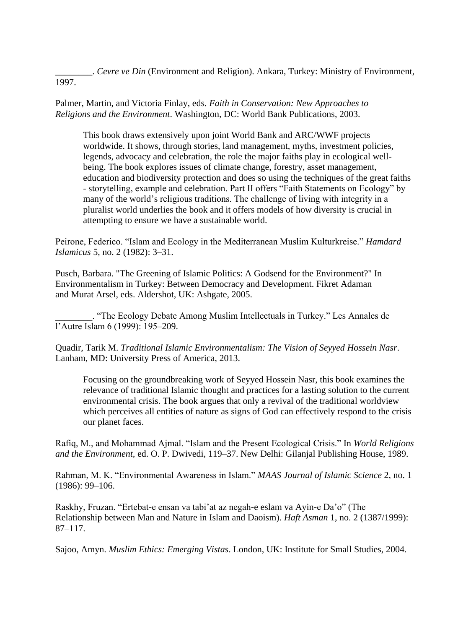\_\_\_\_\_\_\_\_. *Cevre ve Din* (Environment and Religion). Ankara, Turkey: Ministry of Environment, 1997.

Palmer, Martin, and Victoria Finlay, eds. *Faith in Conservation: New Approaches to Religions and the Environment*. Washington, DC: World Bank Publications, 2003.

This book draws extensively upon joint World Bank and ARC/WWF projects worldwide. It shows, through stories, land management, myths, investment policies, legends, advocacy and celebration, the role the major faiths play in ecological wellbeing. The book explores issues of climate change, forestry, asset management, education and biodiversity protection and does so using the techniques of the great faiths - storytelling, example and celebration. Part II offers "Faith Statements on Ecology" by many of the world's religious traditions. The challenge of living with integrity in a pluralist world underlies the book and it offers models of how diversity is crucial in attempting to ensure we have a sustainable world.

Peirone, Federico. "Islam and Ecology in the Mediterranean Muslim Kulturkreise." *Hamdard Islamicus* 5, no. 2 (1982): 3–31.

Pusch, Barbara. "The Greening of Islamic Politics: A Godsend for the Environment?" In Environmentalism in Turkey: Between Democracy and Development. Fikret Adaman and Murat Arsel, eds. Aldershot, UK: Ashgate, 2005.

\_\_\_\_\_\_\_\_. "The Ecology Debate Among Muslim Intellectuals in Turkey." Les Annales de l'Autre Islam 6 (1999): 195–209.

Quadir, Tarik M. *Traditional Islamic Environmentalism: The Vision of Seyyed Hossein Nasr*. Lanham, MD: University Press of America, 2013.

Focusing on the groundbreaking work of Seyyed Hossein Nasr, this book examines the relevance of traditional Islamic thought and practices for a lasting solution to the current environmental crisis. The book argues that only a revival of the traditional worldview which perceives all entities of nature as signs of God can effectively respond to the crisis our planet faces.

Rafiq, M., and Mohammad Ajmal. "Islam and the Present Ecological Crisis." In *World Religions and the Environment,* ed. O. P. Dwivedi, 119–37. New Delhi: Gilanjal Publishing House, 1989.

Rahman, M. K. "Environmental Awareness in Islam." *MAAS Journal of Islamic Science* 2, no. 1 (1986): 99–106.

Raskhy, Fruzan. "Ertebat-e ensan va tabi'at az negah-e eslam va Ayin-e Da'o" (The Relationship between Man and Nature in Islam and Daoism). *Haft Asman* 1, no. 2 (1387/1999): 87–117.

Sajoo, Amyn. *Muslim Ethics: Emerging Vistas*. London, UK: Institute for Small Studies, 2004.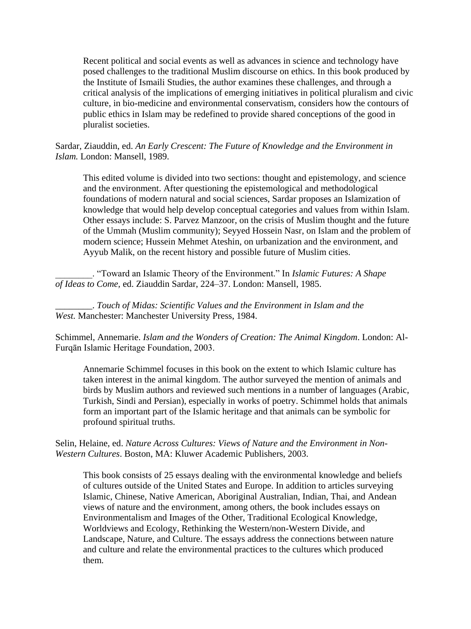Recent political and social events as well as advances in science and technology have posed challenges to the traditional Muslim discourse on ethics. In this book produced by the Institute of Ismaili Studies, the author examines these challenges, and through a critical analysis of the implications of emerging initiatives in political pluralism and civic culture, in bio-medicine and environmental conservatism, considers how the contours of public ethics in Islam may be redefined to provide shared conceptions of the good in pluralist societies.

Sardar, Ziauddin, ed. *An Early Crescent: The Future of Knowledge and the Environment in Islam.* London: Mansell, 1989.

This edited volume is divided into two sections: thought and epistemology, and science and the environment. After questioning the epistemological and methodological foundations of modern natural and social sciences, Sardar proposes an Islamization of knowledge that would help develop conceptual categories and values from within Islam. Other essays include: S. Parvez Manzoor, on the crisis of Muslim thought and the future of the Ummah (Muslim community); Seyyed Hossein Nasr, on Islam and the problem of modern science; Hussein Mehmet Ateshin, on urbanization and the environment, and Ayyub Malik, on the recent history and possible future of Muslim cities.

\_\_\_\_\_\_\_\_. "Toward an Islamic Theory of the Environment." In *Islamic Futures: A Shape of Ideas to Come,* ed. Ziauddin Sardar, 224–37. London: Mansell, 1985.

\_\_\_\_\_\_\_\_. *Touch of Midas: Scientific Values and the Environment in Islam and the West.* Manchester: Manchester University Press, 1984.

Schimmel, Annemarie. *Islam and the Wonders of Creation: The Animal Kingdom*. London: Al-Furqān Islamic Heritage Foundation, 2003.

Annemarie Schimmel focuses in this book on the extent to which Islamic culture has taken interest in the animal kingdom. The author surveyed the mention of animals and birds by Muslim authors and reviewed such mentions in a number of languages (Arabic, Turkish, Sindi and Persian), especially in works of poetry. Schimmel holds that animals form an important part of the Islamic heritage and that animals can be symbolic for profound spiritual truths.

Selin, Helaine, ed. *Nature Across Cultures: Views of Nature and the Environment in Non-Western Cultures*. Boston, MA: Kluwer Academic Publishers, 2003.

This book consists of 25 essays dealing with the environmental knowledge and beliefs of cultures outside of the United States and Europe. In addition to articles surveying Islamic, Chinese, Native American, Aboriginal Australian, Indian, Thai, and Andean views of nature and the environment, among others, the book includes essays on Environmentalism and Images of the Other, Traditional Ecological Knowledge, Worldviews and Ecology, Rethinking the Western/non-Western Divide, and Landscape, Nature, and Culture. The essays address the connections between nature and culture and relate the environmental practices to the cultures which produced them.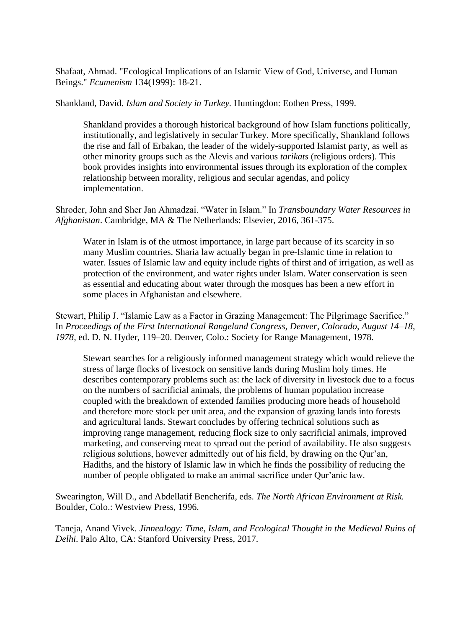Shafaat, Ahmad. "Ecological Implications of an Islamic View of God, Universe, and Human Beings." *Ecumenism* 134(1999): 18-21.

Shankland, David. *Islam and Society in Turkey.* Huntingdon: Eothen Press, 1999.

Shankland provides a thorough historical background of how Islam functions politically, institutionally, and legislatively in secular Turkey. More specifically, Shankland follows the rise and fall of Erbakan, the leader of the widely-supported Islamist party, as well as other minority groups such as the Alevis and various *tarikats* (religious orders). This book provides insights into environmental issues through its exploration of the complex relationship between morality, religious and secular agendas, and policy implementation.

Shroder, John and Sher Jan Ahmadzai. "Water in Islam." In *Transboundary Water Resources in Afghanistan*. Cambridge, MA & The Netherlands: Elsevier, 2016, 361-375.

Water in Islam is of the utmost importance, in large part because of its scarcity in so many Muslim countries. Sharia law actually began in pre-Islamic time in relation to water. Issues of Islamic law and equity include rights of thirst and of irrigation, as well as protection of the environment, and water rights under Islam. Water conservation is seen as essential and educating about water through the mosques has been a new effort in some places in Afghanistan and elsewhere.

Stewart, Philip J. "Islamic Law as a Factor in Grazing Management: The Pilgrimage Sacrifice." In *Proceedings of the First International Rangeland Congress, Denver, Colorado, August 14–18, 1978,* ed. D. N. Hyder, 119–20. Denver, Colo.: Society for Range Management, 1978.

Stewart searches for a religiously informed management strategy which would relieve the stress of large flocks of livestock on sensitive lands during Muslim holy times. He describes contemporary problems such as: the lack of diversity in livestock due to a focus on the numbers of sacrificial animals, the problems of human population increase coupled with the breakdown of extended families producing more heads of household and therefore more stock per unit area, and the expansion of grazing lands into forests and agricultural lands. Stewart concludes by offering technical solutions such as improving range management, reducing flock size to only sacrificial animals, improved marketing, and conserving meat to spread out the period of availability. He also suggests religious solutions, however admittedly out of his field, by drawing on the Qur'an, Hadiths, and the history of Islamic law in which he finds the possibility of reducing the number of people obligated to make an animal sacrifice under Qur'anic law.

Swearington, Will D., and Abdellatif Bencherifa, eds. *The North African Environment at Risk.*  Boulder, Colo.: Westview Press, 1996.

Taneja, Anand Vivek. *Jinnealogy: Time, Islam, and Ecological Thought in the Medieval Ruins of Delhi*. Palo Alto, CA: Stanford University Press, 2017.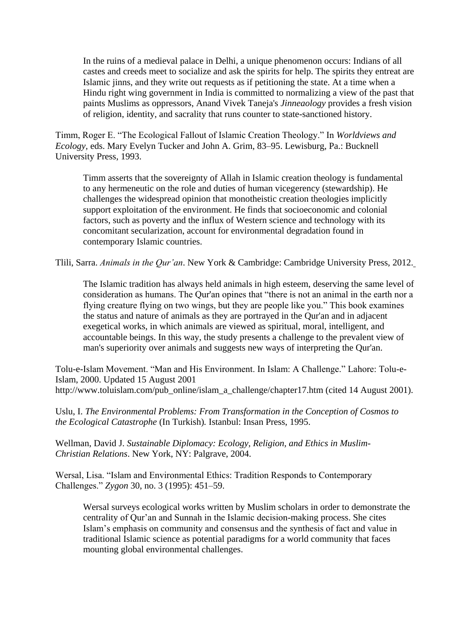In the ruins of a medieval palace in Delhi, a unique phenomenon occurs: Indians of all castes and creeds meet to socialize and ask the spirits for help. The spirits they entreat are Islamic jinns, and they write out requests as if petitioning the state. At a time when a Hindu right wing government in India is committed to normalizing a view of the past that paints Muslims as oppressors, Anand Vivek Taneja's *Jinneaology* provides a fresh vision of religion, identity, and sacrality that runs counter to state-sanctioned history.

Timm, Roger E. "The Ecological Fallout of Islamic Creation Theology." In *Worldviews and Ecology,* eds. Mary Evelyn Tucker and John A. Grim, 83–95. Lewisburg, Pa.: Bucknell University Press, 1993.

Timm asserts that the sovereignty of Allah in Islamic creation theology is fundamental to any hermeneutic on the role and duties of human vicegerency (stewardship). He challenges the widespread opinion that monotheistic creation theologies implicitly support exploitation of the environment. He finds that socioeconomic and colonial factors, such as poverty and the influx of Western science and technology with its concomitant secularization, account for environmental degradation found in contemporary Islamic countries.

Tlili, Sarra. *Animals in the Qur'an*. New York & Cambridge: Cambridge University Press, 2012.

The Islamic tradition has always held animals in high esteem, deserving the same level of consideration as humans. The Qur'an opines that "there is not an animal in the earth nor a flying creature flying on two wings, but they are people like you." This book examines the status and nature of animals as they are portrayed in the Qur'an and in adjacent exegetical works, in which animals are viewed as spiritual, moral, intelligent, and accountable beings. In this way, the study presents a challenge to the prevalent view of man's superiority over animals and suggests new ways of interpreting the Qur'an.

Tolu-e-Islam Movement. "Man and His Environment. In Islam: A Challenge." Lahore: Tolu-e-Islam, 2000. Updated 15 August 2001 http://www.toluislam.com/pub\_online/islam\_a\_challenge/chapter17.htm (cited 14 August 2001).

Uslu, I. *The Environmental Problems: From Transformation in the Conception of Cosmos to the Ecological Catastrophe* (In Turkish)*.* Istanbul: Insan Press, 1995.

Wellman, David J. *Sustainable Diplomacy: Ecology, Religion, and Ethics in Muslim-Christian Relations*. New York, NY: Palgrave, 2004.

Wersal, Lisa. "Islam and Environmental Ethics: Tradition Responds to Contemporary Challenges." *Zygon* 30, no. 3 (1995): 451–59.

Wersal surveys ecological works written by Muslim scholars in order to demonstrate the centrality of Qur'an and Sunnah in the Islamic decision-making process. She cites Islam's emphasis on community and consensus and the synthesis of fact and value in traditional Islamic science as potential paradigms for a world community that faces mounting global environmental challenges.